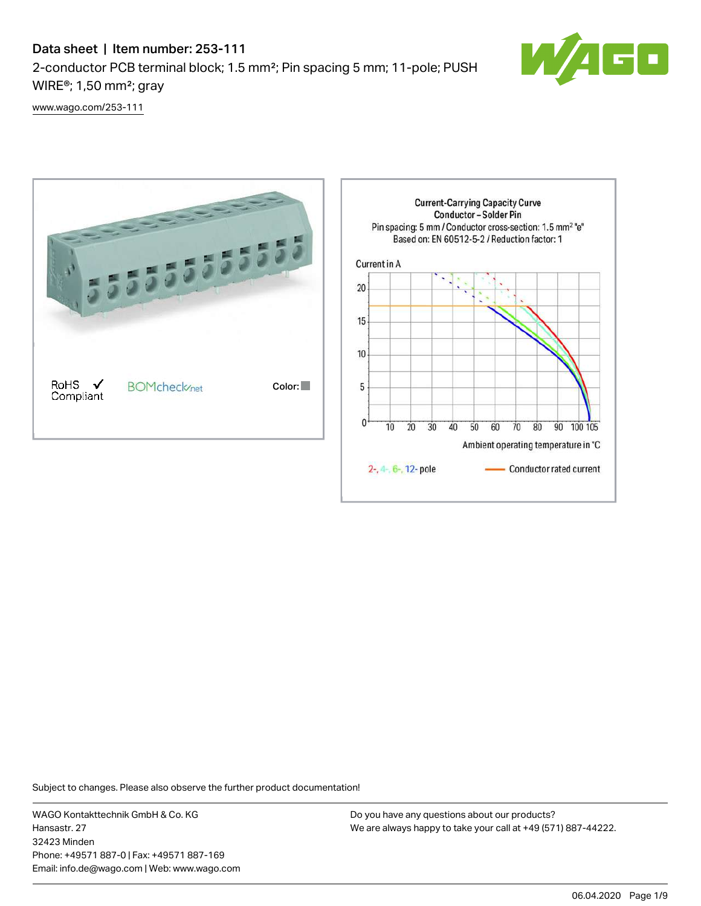# Data sheet | Item number: 253-111 2-conductor PCB terminal block; 1.5 mm²; Pin spacing 5 mm; 11-pole; PUSH WIRE®; 1,50 mm²; gray



[www.wago.com/253-111](http://www.wago.com/253-111)



Subject to changes. Please also observe the further product documentation!

WAGO Kontakttechnik GmbH & Co. KG Hansastr. 27 32423 Minden Phone: +49571 887-0 | Fax: +49571 887-169 Email: info.de@wago.com | Web: www.wago.com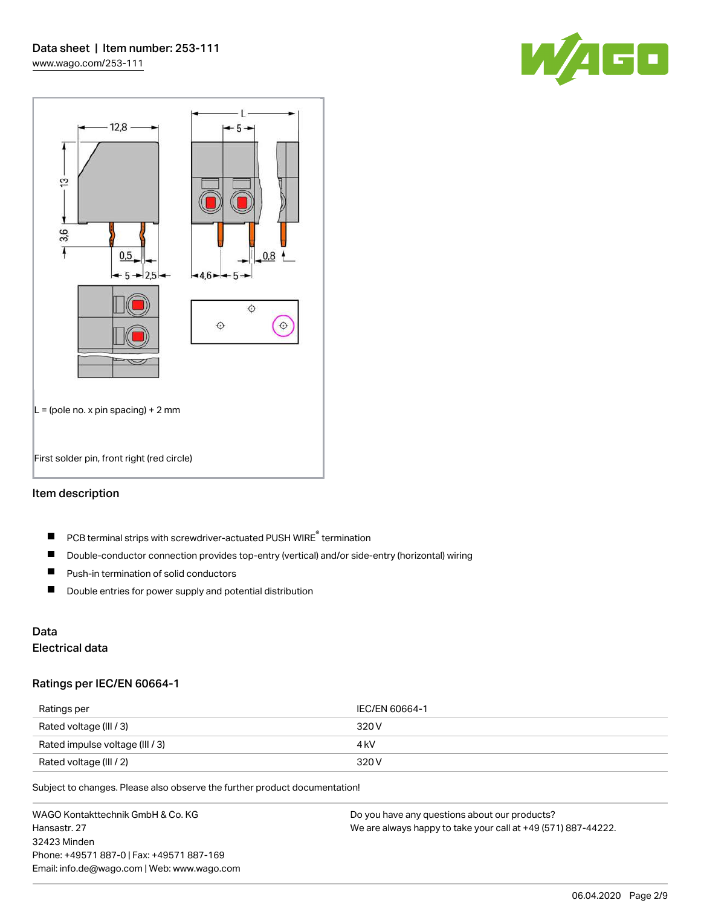



#### Item description

- PCB terminal strips with screwdriver-actuated PUSH WIRE® termination  $\blacksquare$
- $\blacksquare$ Double-conductor connection provides top-entry (vertical) and/or side-entry (horizontal) wiring
- $\blacksquare$ Push-in termination of solid conductors
- $\blacksquare$ Double entries for power supply and potential distribution

# Data

# Electrical data

#### Ratings per IEC/EN 60664-1

| Ratings per                     | IEC/EN 60664-1 |
|---------------------------------|----------------|
| Rated voltage (III / 3)         | 320 V          |
| Rated impulse voltage (III / 3) | 4 kV           |
| Rated voltage (III / 2)         | 320 V          |

Subject to changes. Please also observe the further product documentation!

WAGO Kontakttechnik GmbH & Co. KG Hansastr. 27 32423 Minden Phone: +49571 887-0 | Fax: +49571 887-169 Email: info.de@wago.com | Web: www.wago.com Do you have any questions about our products? We are always happy to take your call at +49 (571) 887-44222.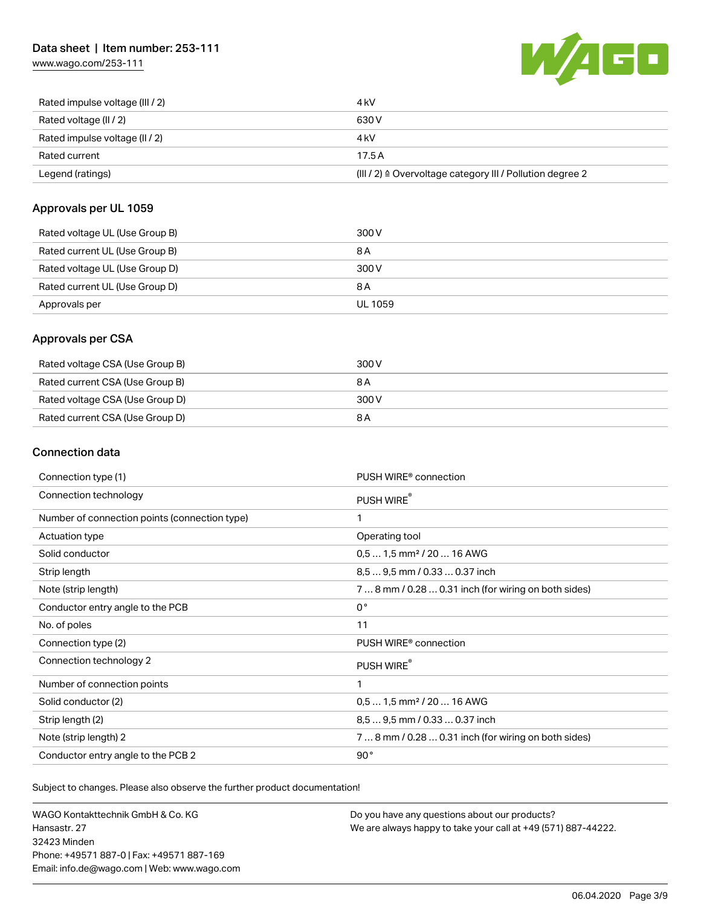## Data sheet | Item number: 253-111

[www.wago.com/253-111](http://www.wago.com/253-111)



| Rated impulse voltage (III / 2) | 4 kV                                                      |
|---------------------------------|-----------------------------------------------------------|
| Rated voltage (II / 2)          | 630 V                                                     |
| Rated impulse voltage (II / 2)  | 4 kV                                                      |
| Rated current                   | 17.5A                                                     |
| Legend (ratings)                | (III / 2) ≙ Overvoltage category III / Pollution degree 2 |

## Approvals per UL 1059

| Rated voltage UL (Use Group B) | 300 V          |
|--------------------------------|----------------|
| Rated current UL (Use Group B) | 8 A            |
| Rated voltage UL (Use Group D) | 300 V          |
| Rated current UL (Use Group D) | 8 A            |
| Approvals per                  | <b>UL 1059</b> |

## Approvals per CSA

| Rated voltage CSA (Use Group B) | 300 V |
|---------------------------------|-------|
| Rated current CSA (Use Group B) | 8 A   |
| Rated voltage CSA (Use Group D) | 300 V |
| Rated current CSA (Use Group D) | 8 A   |

## Connection data

| Connection type (1)                           | PUSH WIRE <sup>®</sup> connection                    |
|-----------------------------------------------|------------------------------------------------------|
| Connection technology                         | PUSH WIRE®                                           |
| Number of connection points (connection type) | 1                                                    |
| Actuation type                                | Operating tool                                       |
| Solid conductor                               | $0.51.5$ mm <sup>2</sup> / 20  16 AWG                |
| Strip length                                  | 8.5  9.5 mm / 0.33  0.37 inch                        |
| Note (strip length)                           | 7  8 mm / 0.28  0.31 inch (for wiring on both sides) |
| Conductor entry angle to the PCB              | $0^{\circ}$                                          |
| No. of poles                                  | 11                                                   |
| Connection type (2)                           | PUSH WIRE <sup>®</sup> connection                    |
| Connection technology 2                       | PUSH WIRE®                                           |
| Number of connection points                   | 1                                                    |
| Solid conductor (2)                           | $0.51.5$ mm <sup>2</sup> / 20  16 AWG                |
| Strip length (2)                              | 8.5  9.5 mm / 0.33  0.37 inch                        |
| Note (strip length) 2                         | 7  8 mm / 0.28  0.31 inch (for wiring on both sides) |
| Conductor entry angle to the PCB 2            | 90°                                                  |

Subject to changes. Please also observe the further product documentation!

WAGO Kontakttechnik GmbH & Co. KG Hansastr. 27 32423 Minden Phone: +49571 887-0 | Fax: +49571 887-169 Email: info.de@wago.com | Web: www.wago.com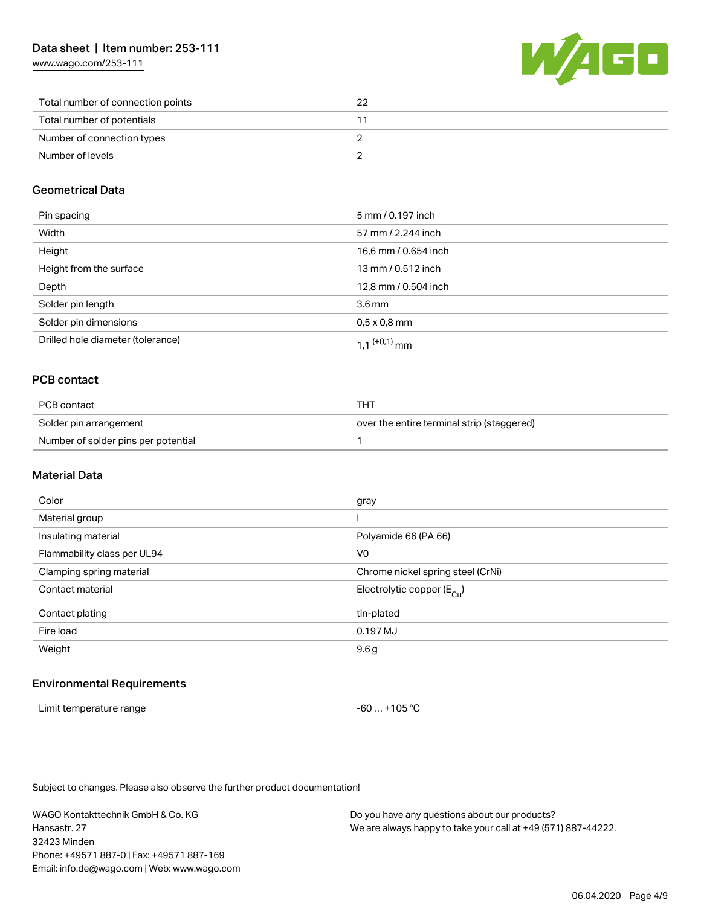[www.wago.com/253-111](http://www.wago.com/253-111)



| Total number of connection points | 22 |
|-----------------------------------|----|
| Total number of potentials        |    |
| Number of connection types        |    |
| Number of levels                  |    |

## Geometrical Data

| Pin spacing                       | 5 mm / 0.197 inch    |
|-----------------------------------|----------------------|
| Width                             | 57 mm / 2.244 inch   |
| Height                            | 16,6 mm / 0.654 inch |
| Height from the surface           | 13 mm / 0.512 inch   |
| Depth                             | 12,8 mm / 0.504 inch |
| Solder pin length                 | 3.6 <sub>mm</sub>    |
| Solder pin dimensions             | $0.5 \times 0.8$ mm  |
| Drilled hole diameter (tolerance) | 1 1 $(0.1)$ mm       |

## PCB contact

| PCB contact                         | THT                                        |
|-------------------------------------|--------------------------------------------|
| Solder pin arrangement              | over the entire terminal strip (staggered) |
| Number of solder pins per potential |                                            |

## Material Data

| Color                       | gray                                  |
|-----------------------------|---------------------------------------|
| Material group              |                                       |
| Insulating material         | Polyamide 66 (PA 66)                  |
| Flammability class per UL94 | V <sub>0</sub>                        |
| Clamping spring material    | Chrome nickel spring steel (CrNi)     |
| Contact material            | Electrolytic copper $(E_{\text{Cl}})$ |
| Contact plating             | tin-plated                            |
| Fire load                   | 0.197 MJ                              |
| Weight                      | 9.6g                                  |
|                             |                                       |

#### Environmental Requirements

| Limit temperature range | -60  +105 °C |
|-------------------------|--------------|
|-------------------------|--------------|

Subject to changes. Please also observe the further product documentation!

WAGO Kontakttechnik GmbH & Co. KG Hansastr. 27 32423 Minden Phone: +49571 887-0 | Fax: +49571 887-169 Email: info.de@wago.com | Web: www.wago.com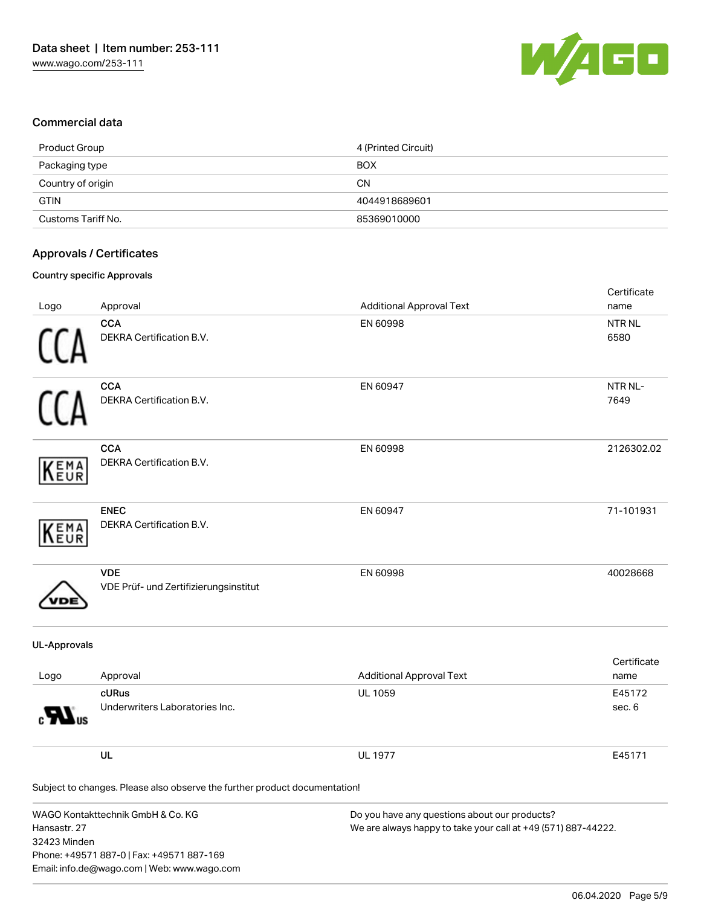

## Commercial data

| Product Group      | 4 (Printed Circuit) |
|--------------------|---------------------|
| Packaging type     | <b>BOX</b>          |
| Country of origin  | <b>CN</b>           |
| <b>GTIN</b>        | 4044918689601       |
| Customs Tariff No. | 85369010000         |

## Approvals / Certificates

#### Country specific Approvals

| Logo                         | Approval                                                                                                                      | <b>Additional Approval Text</b>                                                                                | Certificate<br>name  |
|------------------------------|-------------------------------------------------------------------------------------------------------------------------------|----------------------------------------------------------------------------------------------------------------|----------------------|
|                              | <b>CCA</b><br>DEKRA Certification B.V.                                                                                        | EN 60998                                                                                                       | <b>NTRNL</b><br>6580 |
|                              | <b>CCA</b><br>DEKRA Certification B.V.                                                                                        | EN 60947                                                                                                       | NTR NL-<br>7649      |
| EMA<br>EUR                   | <b>CCA</b><br>DEKRA Certification B.V.                                                                                        | EN 60998                                                                                                       | 2126302.02           |
| EMA<br>EUR                   | <b>ENEC</b><br>DEKRA Certification B.V.                                                                                       | EN 60947                                                                                                       | 71-101931            |
|                              | <b>VDE</b><br>VDE Prüf- und Zertifizierungsinstitut                                                                           | EN 60998                                                                                                       | 40028668             |
| <b>UL-Approvals</b>          |                                                                                                                               |                                                                                                                |                      |
| Logo                         | Approval                                                                                                                      | <b>Additional Approval Text</b>                                                                                | Certificate<br>name  |
|                              | cURus<br>Underwriters Laboratories Inc.                                                                                       | <b>UL 1059</b>                                                                                                 | E45172<br>sec. 6     |
|                              | UL                                                                                                                            | <b>UL 1977</b>                                                                                                 | E45171               |
|                              | Subject to changes. Please also observe the further product documentation!                                                    |                                                                                                                |                      |
| Hansastr. 27<br>32423 Minden | WAGO Kontakttechnik GmbH & Co. KG<br>Phone: +49571 887-0   Fax: +49571 887-169<br>Email: info.de@wago.com   Web: www.wago.com | Do you have any questions about our products?<br>We are always happy to take your call at +49 (571) 887-44222. |                      |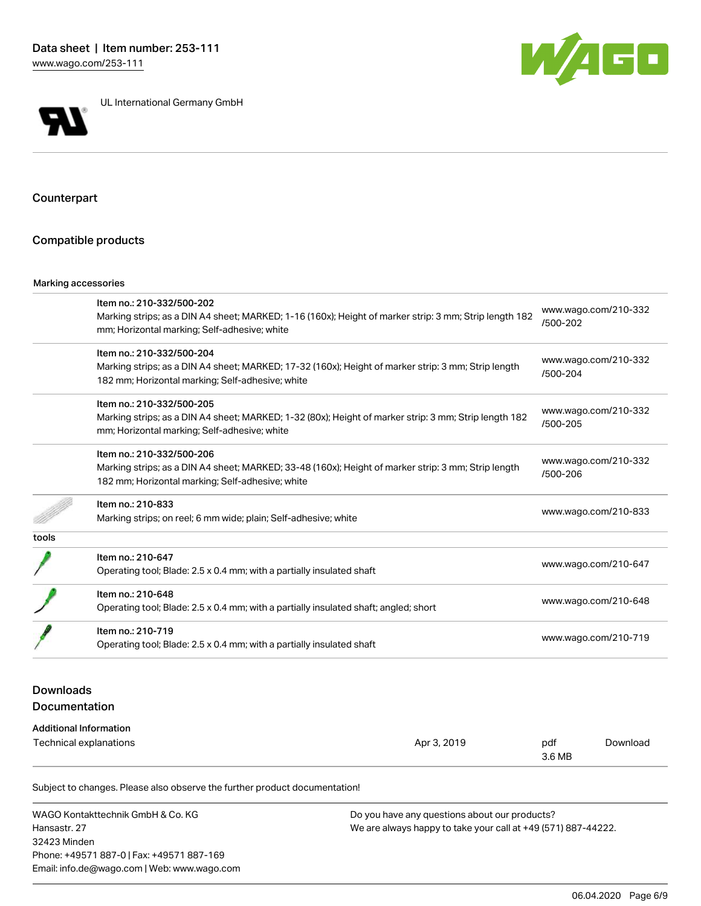



UL International Germany GmbH

## Counterpart

#### Compatible products

#### Marking accessories

|       | Item no.: 210-332/500-202                                                                              |                                  |  |
|-------|--------------------------------------------------------------------------------------------------------|----------------------------------|--|
|       | Marking strips; as a DIN A4 sheet; MARKED; 1-16 (160x); Height of marker strip: 3 mm; Strip length 182 | www.wago.com/210-332<br>/500-202 |  |
|       | mm; Horizontal marking; Self-adhesive; white                                                           |                                  |  |
|       | Item no.: 210-332/500-204                                                                              | www.wago.com/210-332             |  |
|       | Marking strips; as a DIN A4 sheet; MARKED; 17-32 (160x); Height of marker strip: 3 mm; Strip length    | /500-204                         |  |
|       | 182 mm; Horizontal marking; Self-adhesive; white                                                       |                                  |  |
|       | Item no.: 210-332/500-205                                                                              |                                  |  |
|       | Marking strips; as a DIN A4 sheet; MARKED; 1-32 (80x); Height of marker strip: 3 mm; Strip length 182  | www.wago.com/210-332             |  |
|       | mm; Horizontal marking; Self-adhesive; white                                                           | /500-205                         |  |
|       | Item no.: 210-332/500-206                                                                              |                                  |  |
|       | Marking strips; as a DIN A4 sheet; MARKED; 33-48 (160x); Height of marker strip: 3 mm; Strip length    | www.wago.com/210-332<br>/500-206 |  |
|       | 182 mm; Horizontal marking; Self-adhesive; white                                                       |                                  |  |
|       | Item no.: 210-833                                                                                      |                                  |  |
|       | Marking strips; on reel; 6 mm wide; plain; Self-adhesive; white                                        | www.wago.com/210-833             |  |
| tools |                                                                                                        |                                  |  |
|       | Item no.: 210-647                                                                                      | www.wago.com/210-647             |  |
|       | Operating tool; Blade: 2.5 x 0.4 mm; with a partially insulated shaft                                  |                                  |  |
|       | Item no.: 210-648                                                                                      |                                  |  |
|       | Operating tool; Blade: 2.5 x 0.4 mm; with a partially insulated shaft; angled; short                   | www.wago.com/210-648             |  |
|       | Item no.: 210-719                                                                                      |                                  |  |
|       | Operating tool; Blade: 2.5 x 0.4 mm; with a partially insulated shaft                                  | www.wago.com/210-719             |  |

## Downloads Documentation

#### Additional Information

| Technical explanations | Apr 3, 2019 | pdf<br>3.6 MB | Download |
|------------------------|-------------|---------------|----------|
|                        |             |               |          |

Subject to changes. Please also observe the further product documentation!

WAGO Kontakttechnik GmbH & Co. KG Hansastr. 27 32423 Minden Phone: +49571 887-0 | Fax: +49571 887-169 Email: info.de@wago.com | Web: www.wago.com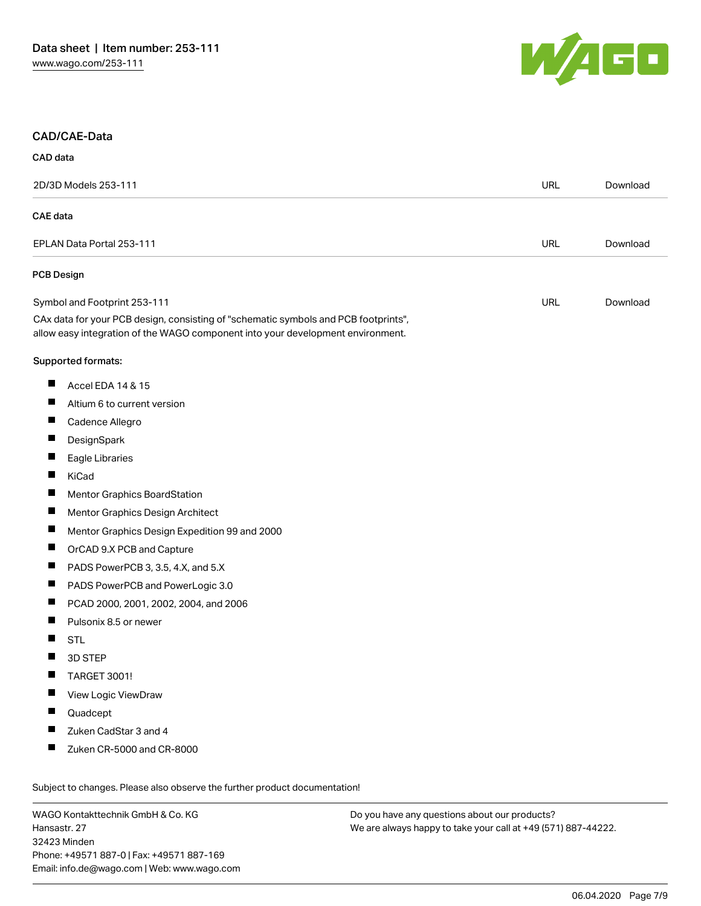

#### CAD/CAE-Data

#### CAD data

|                 | 2D/3D Models 253-111                                                                                                                                                   |            | Download |
|-----------------|------------------------------------------------------------------------------------------------------------------------------------------------------------------------|------------|----------|
| <b>CAE</b> data |                                                                                                                                                                        |            |          |
|                 | EPLAN Data Portal 253-111                                                                                                                                              | <b>URL</b> | Download |
|                 | <b>PCB Design</b>                                                                                                                                                      |            |          |
|                 | Symbol and Footprint 253-111                                                                                                                                           | <b>URL</b> | Download |
|                 | CAx data for your PCB design, consisting of "schematic symbols and PCB footprints",<br>allow easy integration of the WAGO component into your development environment. |            |          |
|                 | Supported formats:                                                                                                                                                     |            |          |
| ш               | Accel EDA 14 & 15                                                                                                                                                      |            |          |
| П               | Altium 6 to current version                                                                                                                                            |            |          |
| ш               | Cadence Allegro                                                                                                                                                        |            |          |
| ш               | DesignSpark                                                                                                                                                            |            |          |
| П               | Eagle Libraries                                                                                                                                                        |            |          |
| Ш               | KiCad                                                                                                                                                                  |            |          |
| ш               | <b>Mentor Graphics BoardStation</b>                                                                                                                                    |            |          |
| ш               | Mentor Graphics Design Architect                                                                                                                                       |            |          |
| ш               | Mentor Graphics Design Expedition 99 and 2000                                                                                                                          |            |          |
| П               | OrCAD 9.X PCB and Capture                                                                                                                                              |            |          |
| Ш               | PADS PowerPCB 3, 3.5, 4.X, and 5.X                                                                                                                                     |            |          |
| ш               | PADS PowerPCB and PowerLogic 3.0                                                                                                                                       |            |          |
| П               | PCAD 2000, 2001, 2002, 2004, and 2006                                                                                                                                  |            |          |
| Ш               | Pulsonix 8.5 or newer                                                                                                                                                  |            |          |
| H               | <b>STL</b>                                                                                                                                                             |            |          |
|                 | 3D STEP                                                                                                                                                                |            |          |
| ш               | TARGET 3001!                                                                                                                                                           |            |          |
| ш               | View Logic ViewDraw                                                                                                                                                    |            |          |
|                 | Quadcept                                                                                                                                                               |            |          |
|                 | Zuken CadStar 3 and 4                                                                                                                                                  |            |          |
| ш               | Zuken CR-5000 and CR-8000                                                                                                                                              |            |          |

WAGO Kontakttechnik GmbH & Co. KG Hansastr. 27 32423 Minden Phone: +49571 887-0 | Fax: +49571 887-169 Email: info.de@wago.com | Web: www.wago.com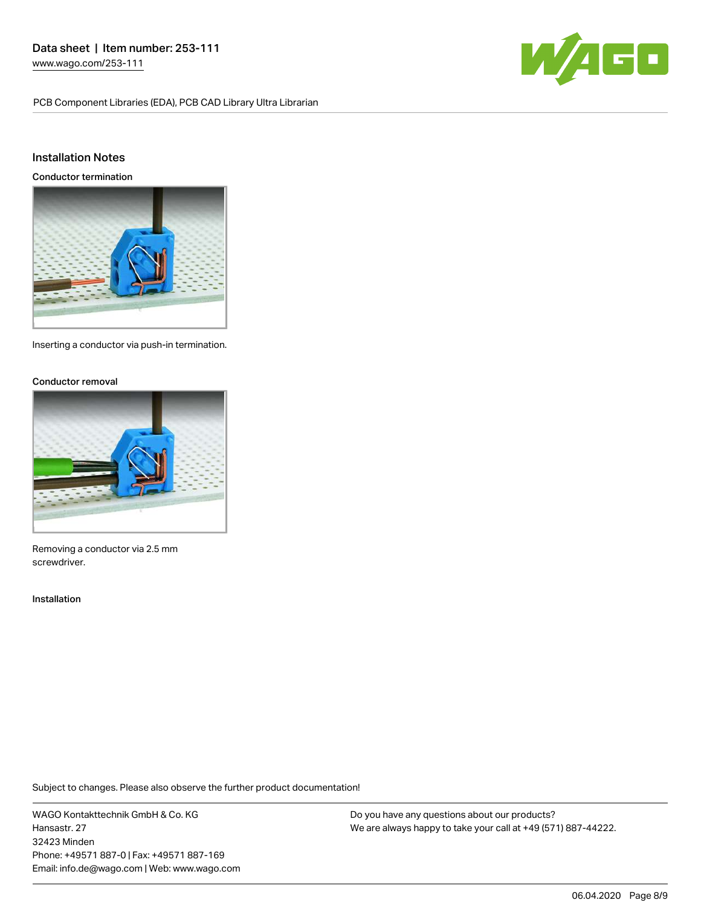PCB Component Libraries (EDA), PCB CAD Library Ultra Librarian



## Installation Notes

Conductor termination



Inserting a conductor via push-in termination.

#### Conductor removal



Removing a conductor via 2.5 mm screwdriver.

#### Installation

Subject to changes. Please also observe the further product documentation!

WAGO Kontakttechnik GmbH & Co. KG Hansastr. 27 32423 Minden Phone: +49571 887-0 | Fax: +49571 887-169 Email: info.de@wago.com | Web: www.wago.com